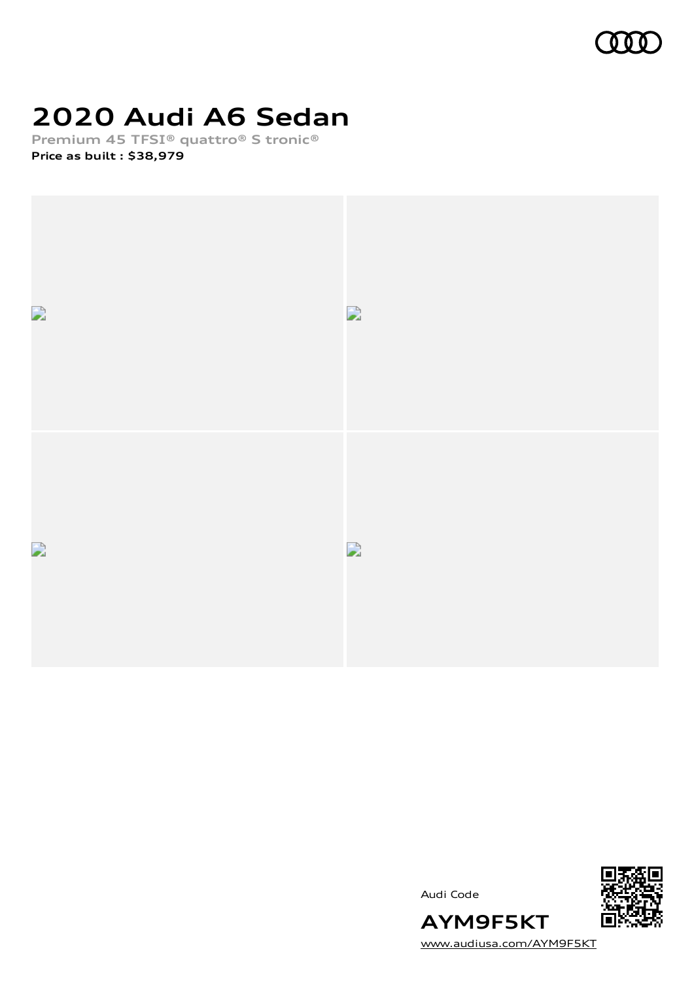

# **2020 Audi A6 Sedan**

**Premium 45 TFSI® quattro® S tronic® Price as built [:](#page-8-0) \$38,979**





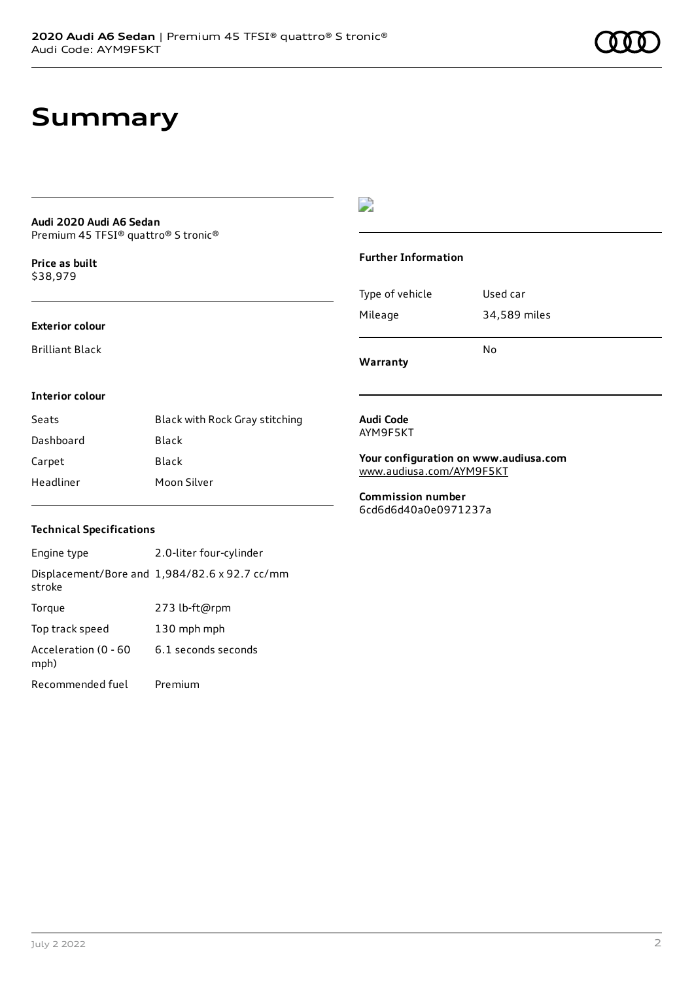## **Summary**

#### **Audi 2020 Audi A6 Sedan** Premium 45 TFSI® quattro® S tronic®

**Price as buil[t](#page-8-0)** \$38,979

### **Exterior colour**

Brilliant Black

### D

### **Further Information**

|                 | N٥           |  |
|-----------------|--------------|--|
| Mileage         | 34,589 miles |  |
| Type of vehicle | Used car     |  |

**Warranty**

#### **Interior colour**

| Seats     | Black with Rock Gray stitching |
|-----------|--------------------------------|
| Dashboard | Black                          |
| Carpet    | Black                          |
| Headliner | Moon Silver                    |

#### **Audi Code** AYM9F5KT

**Your configuration on www.audiusa.com**

[www.audiusa.com/AYM9F5KT](https://www.audiusa.com/AYM9F5KT)

**Commission number** 6cd6d6d40a0e0971237a

### **Technical Specifications**

Engine type 2.0-liter four-cylinder Displacement/Bore and 1,984/82.6 x 92.7 cc/mm stroke Torque 273 lb-ft@rpm Top track speed 130 mph mph Acceleration (0 - 60 mph) 6.1 seconds seconds Recommended fuel Premium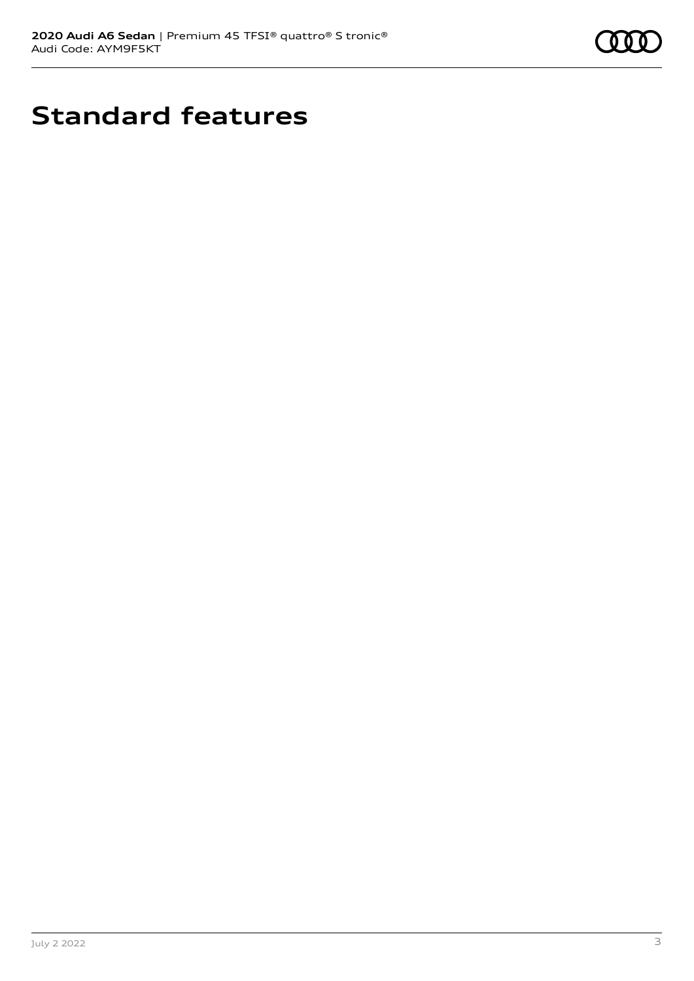

# **Standard features**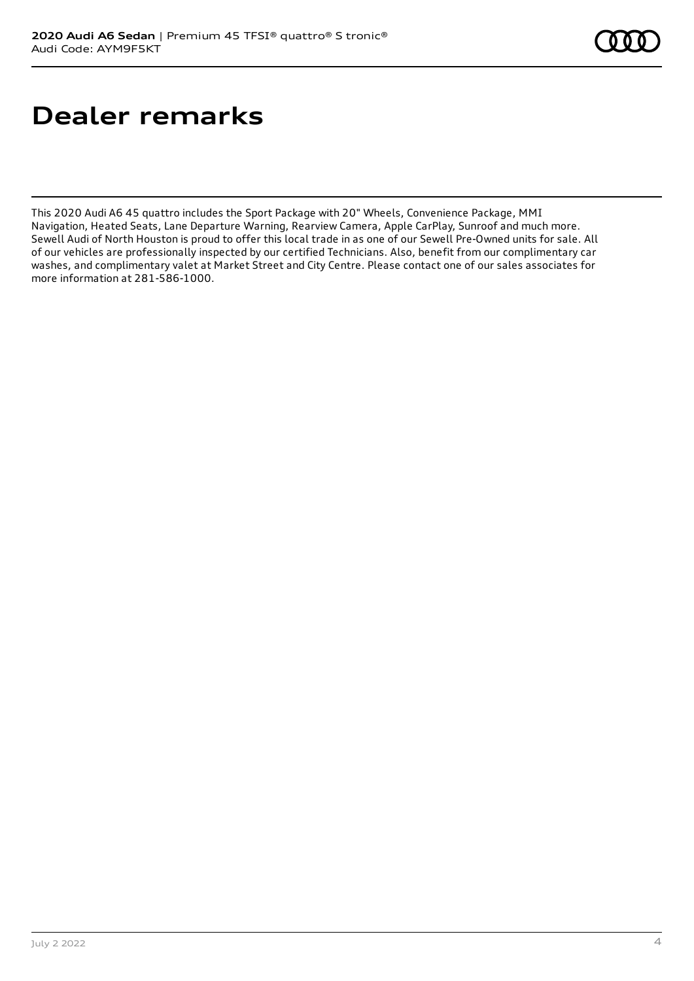# **Dealer remarks**

This 2020 Audi A6 45 quattro includes the Sport Package with 20" Wheels, Convenience Package, MMI Navigation, Heated Seats, Lane Departure Warning, Rearview Camera, Apple CarPlay, Sunroof and much more. Sewell Audi of North Houston is proud to offer this local trade in as one of our Sewell Pre-Owned units for sale. All of our vehicles are professionally inspected by our certified Technicians. Also, benefit from our complimentary car washes, and complimentary valet at Market Street and City Centre. Please contact one of our sales associates for more information at 281-586-1000.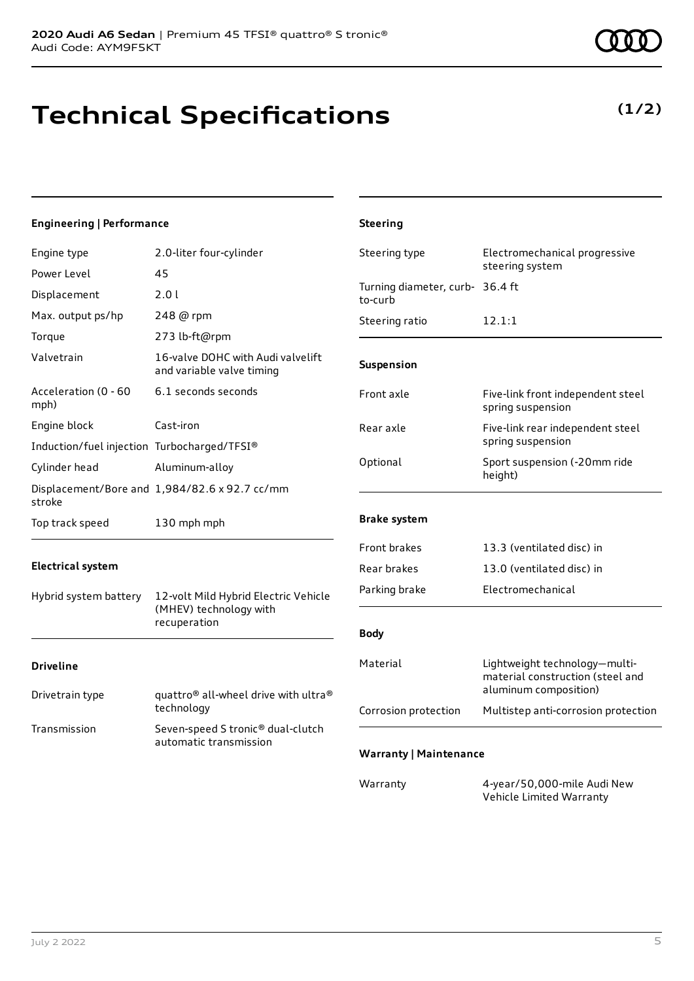# **Technical Specifications**

### **Engineering | Performance**

| Engine type                                 | 2.0-liter four-cylinder                                        | Steering type                              | Electromechanical progressive                                                              |
|---------------------------------------------|----------------------------------------------------------------|--------------------------------------------|--------------------------------------------------------------------------------------------|
| Power Level                                 | 45                                                             |                                            | steering system                                                                            |
| Displacement                                | 2.0 l                                                          | Turning diameter, curb- 36.4 ft<br>to-curb |                                                                                            |
| Max. output ps/hp                           | 248 @ rpm                                                      | Steering ratio                             | 12.1:1                                                                                     |
| Torque                                      | 273 lb-ft@rpm                                                  |                                            |                                                                                            |
| Valvetrain                                  | 16-valve DOHC with Audi valvelift<br>and variable valve timing | Suspension                                 |                                                                                            |
| Acceleration (0 - 60<br>mph)                | 6.1 seconds seconds                                            | Front axle                                 | Five-link front independent steel<br>spring suspension                                     |
| Engine block                                | Cast-iron                                                      | Rear axle                                  | Five-link rear independent steel                                                           |
| Induction/fuel injection Turbocharged/TFSI® |                                                                |                                            | spring suspension                                                                          |
| Cylinder head                               | Aluminum-alloy                                                 | Optional                                   | Sport suspension (-20mm ride<br>height)                                                    |
| stroke                                      | Displacement/Bore and 1,984/82.6 x 92.7 cc/mm                  |                                            |                                                                                            |
| Top track speed                             | 130 mph mph                                                    | <b>Brake system</b>                        |                                                                                            |
|                                             |                                                                | Front brakes                               | 13.3 (ventilated disc) in                                                                  |
| <b>Electrical system</b>                    |                                                                | Rear brakes                                | 13.0 (ventilated disc) in                                                                  |
| Hybrid system battery                       | 12-volt Mild Hybrid Electric Vehicle                           | Parking brake                              | Electromechanical                                                                          |
| (MHEV) technology with<br>recuperation      |                                                                | <b>Body</b>                                |                                                                                            |
| <b>Driveline</b>                            |                                                                | Material                                   | Lightweight technology-multi-<br>material construction (steel and<br>aluminum composition) |
| Drivetrain type                             | quattro® all-wheel drive with ultra®<br>technology             | Corrosion protection                       | Multistep anti-corrosion protection                                                        |
| Transmission                                | Seven-speed S tronic® dual-clutch<br>automatic transmission    |                                            |                                                                                            |
|                                             |                                                                | <b>Warranty   Maintenance</b>              |                                                                                            |
|                                             |                                                                | Warranty                                   | 4-year/50,000-mile Audi New<br>Vehicle Limited Warranty                                    |

**Steering**

### **(1/2)**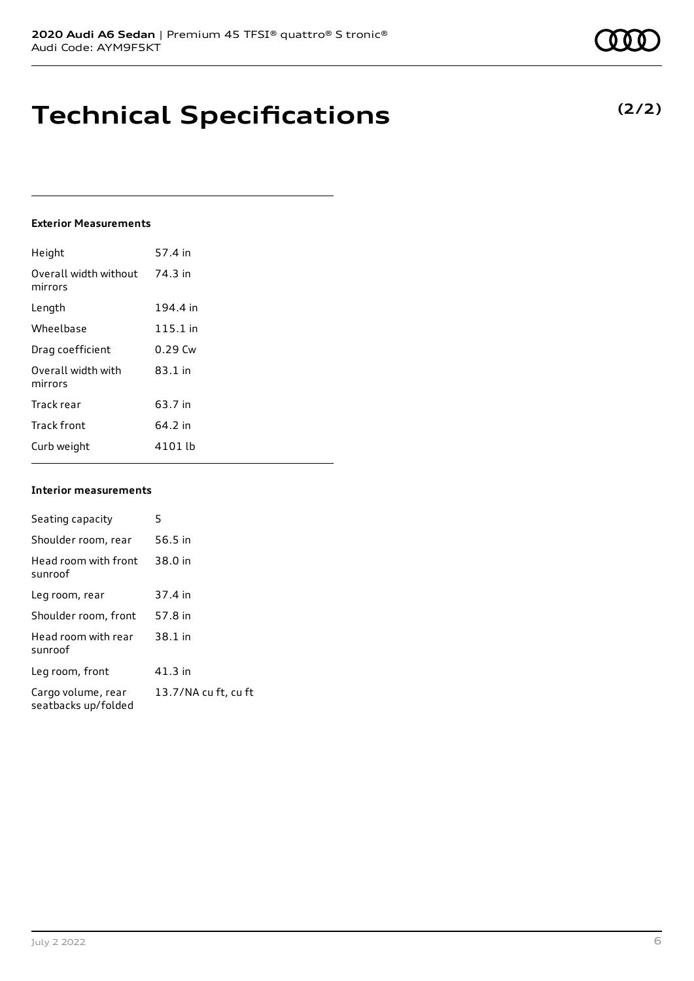## **Technical Specifications**

### **Exterior Measurements**

| Height                           | 57.4 in   |
|----------------------------------|-----------|
| Overall width without<br>mirrors | 74.3 in   |
| Length                           | 194.4 in  |
| Wheelbase                        | 115.1 in  |
| Drag coefficient                 | $0.29$ Cw |
| Overall width with<br>mirrors    | $83.1$ in |
| Track rear                       | 63.7 in   |
| <b>Track front</b>               | 64.2 in   |
| Curb weight                      | 4101 lb   |

#### **Interior measurements**

| Seating capacity                          | 5                    |
|-------------------------------------------|----------------------|
| Shoulder room, rear                       | 56.5 in              |
| Head room with front<br>sunroof           | 38.0 in              |
| Leg room, rear                            | 37.4 in              |
| Shoulder room, front                      | 57.8 in              |
| Head room with rear<br>sunroof            | 38.1 in              |
| Leg room, front                           | 41.3 in              |
| Cargo volume, rear<br>seatbacks up/folded | 13.7/NA cu ft, cu ft |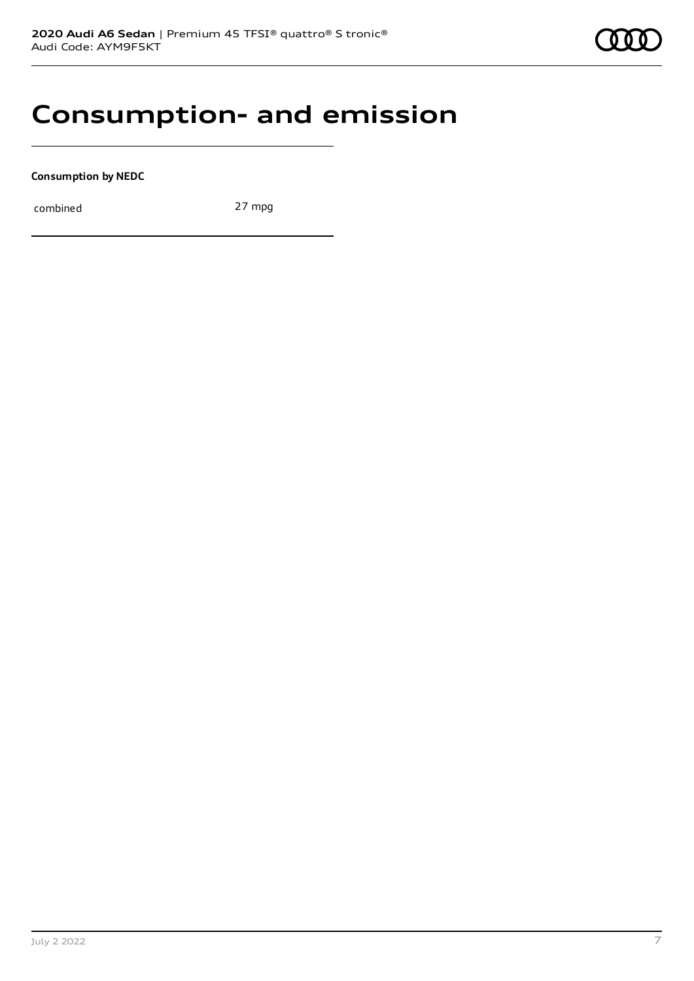

### **Consumption- and emission**

**Consumption by NEDC**

combined 27 mpg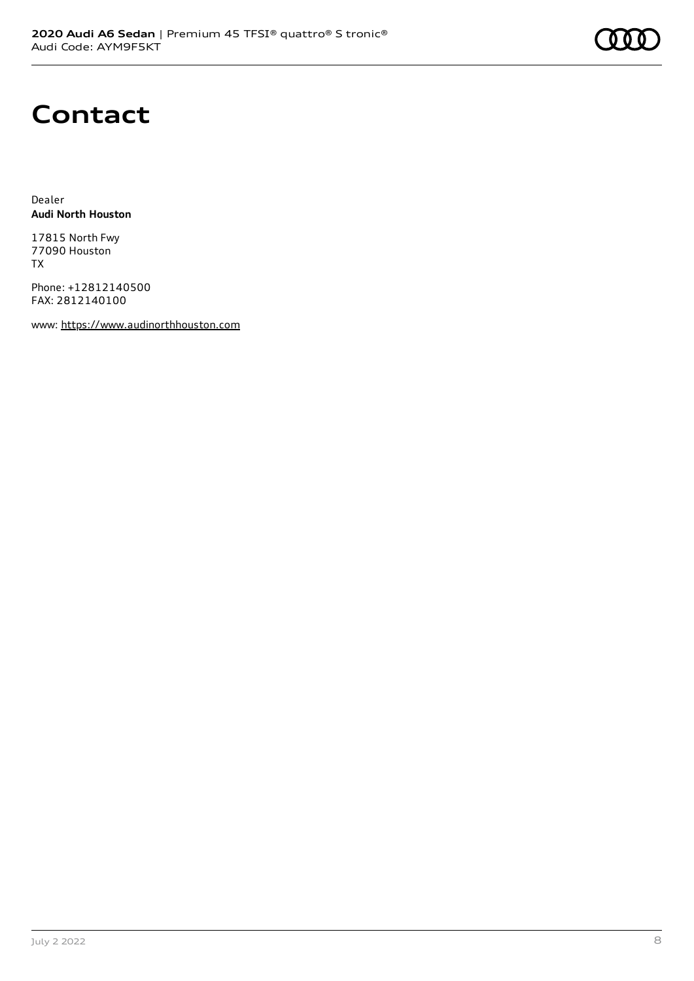

## **Contact**

Dealer **Audi North Houston**

17815 North Fwy 77090 Houston TX

Phone: +12812140500 FAX: 2812140100

www: [https://www.audinorthhouston.com](https://www.audinorthhouston.com/)